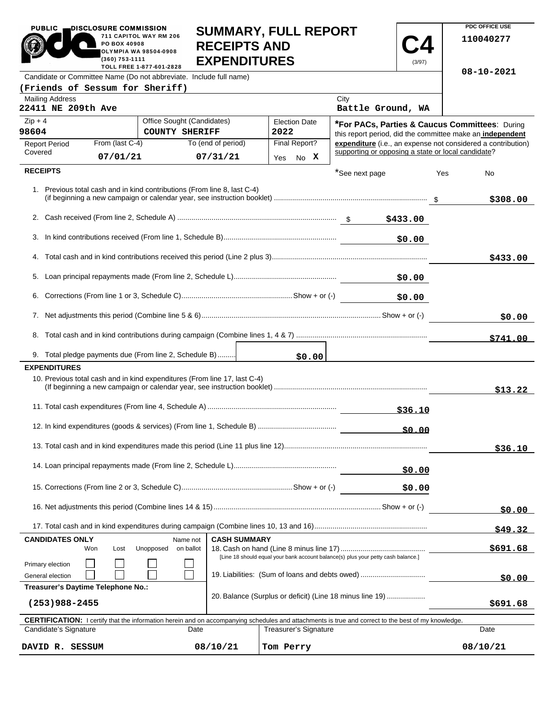| <b>PUBLIC</b><br>DISCLOSURE COMMISSION                                                                                                                                              | 711 CAPITOL WAY RM 206<br>PO BOX 40908<br><b>OLYMPIA WA 98504-0908</b><br>(360) 753-1111<br>TOLL FREE 1-877-601-2828 | <b>RECEIPTS AND</b><br><b>EXPENDITURES</b> |                                                                                                             | <b>SUMMARY, FULL REPORT</b>  |                                                    | (3/97) |          | PUC OFFICE USE<br>110040277                                  |
|-------------------------------------------------------------------------------------------------------------------------------------------------------------------------------------|----------------------------------------------------------------------------------------------------------------------|--------------------------------------------|-------------------------------------------------------------------------------------------------------------|------------------------------|----------------------------------------------------|--------|----------|--------------------------------------------------------------|
| Candidate or Committee Name (Do not abbreviate. Include full name)                                                                                                                  |                                                                                                                      |                                            |                                                                                                             |                              |                                                    |        |          | 08-10-2021                                                   |
| (Friends of Sessum for Sheriff)                                                                                                                                                     |                                                                                                                      |                                            |                                                                                                             |                              |                                                    |        |          |                                                              |
| <b>Mailing Address</b><br>22411 NE 209th Ave                                                                                                                                        |                                                                                                                      |                                            |                                                                                                             |                              | City<br>Battle Ground, WA                          |        |          |                                                              |
| $Zip + 4$<br>Office Sought (Candidates)<br><b>Election Date</b><br><b>COUNTY SHERIFF</b><br>98604<br>2022                                                                           |                                                                                                                      |                                            | *For PACs, Parties & Caucus Committees: During<br>this report period, did the committee make an independent |                              |                                                    |        |          |                                                              |
| From (last C-4)<br><b>Report Period</b>                                                                                                                                             |                                                                                                                      | To (end of period)                         |                                                                                                             | Final Report?                |                                                    |        |          | expenditure (i.e., an expense not considered a contribution) |
| Covered                                                                                                                                                                             | 07/01/21                                                                                                             | 07/31/21                                   |                                                                                                             | Yes No X                     | supporting or opposing a state or local candidate? |        |          |                                                              |
| <b>RECEIPTS</b>                                                                                                                                                                     |                                                                                                                      |                                            |                                                                                                             |                              | *See next page                                     |        | Yes      | No                                                           |
| 1. Previous total cash and in kind contributions (From line 8, last C-4)                                                                                                            |                                                                                                                      |                                            |                                                                                                             |                              |                                                    |        |          | \$308.00                                                     |
|                                                                                                                                                                                     |                                                                                                                      |                                            |                                                                                                             |                              |                                                    |        |          |                                                              |
|                                                                                                                                                                                     |                                                                                                                      |                                            |                                                                                                             |                              |                                                    | \$0.00 |          |                                                              |
|                                                                                                                                                                                     |                                                                                                                      |                                            |                                                                                                             |                              |                                                    |        |          |                                                              |
|                                                                                                                                                                                     |                                                                                                                      |                                            |                                                                                                             |                              |                                                    |        |          | \$433.00                                                     |
|                                                                                                                                                                                     |                                                                                                                      |                                            |                                                                                                             |                              |                                                    | \$0.00 |          |                                                              |
|                                                                                                                                                                                     |                                                                                                                      |                                            |                                                                                                             |                              |                                                    | \$0.00 |          |                                                              |
|                                                                                                                                                                                     |                                                                                                                      |                                            |                                                                                                             |                              |                                                    |        | \$0.00   |                                                              |
|                                                                                                                                                                                     |                                                                                                                      |                                            |                                                                                                             |                              |                                                    |        |          | \$741.00                                                     |
| 9. Total pledge payments due (From line 2, Schedule B)                                                                                                                              |                                                                                                                      |                                            |                                                                                                             |                              |                                                    |        |          |                                                              |
| <b>EXPENDITURES</b>                                                                                                                                                                 |                                                                                                                      |                                            |                                                                                                             | \$0.00                       |                                                    |        |          |                                                              |
| 10. Previous total cash and in kind expenditures (From line 17, last C-4)                                                                                                           |                                                                                                                      |                                            |                                                                                                             |                              |                                                    |        |          | \$13.22                                                      |
|                                                                                                                                                                                     |                                                                                                                      |                                            |                                                                                                             |                              |                                                    |        |          |                                                              |
|                                                                                                                                                                                     |                                                                                                                      |                                            |                                                                                                             |                              |                                                    | \$0.00 |          |                                                              |
|                                                                                                                                                                                     |                                                                                                                      |                                            |                                                                                                             |                              |                                                    |        |          | \$36.10                                                      |
|                                                                                                                                                                                     |                                                                                                                      |                                            |                                                                                                             |                              |                                                    | \$0.00 |          |                                                              |
|                                                                                                                                                                                     |                                                                                                                      |                                            |                                                                                                             |                              |                                                    | \$0.00 |          |                                                              |
|                                                                                                                                                                                     |                                                                                                                      |                                            |                                                                                                             |                              |                                                    | \$0.00 |          |                                                              |
|                                                                                                                                                                                     |                                                                                                                      |                                            |                                                                                                             |                              |                                                    |        |          | \$49.32                                                      |
| <b>CANDIDATES ONLY</b><br><b>CASH SUMMARY</b><br>Name not                                                                                                                           |                                                                                                                      |                                            |                                                                                                             |                              |                                                    |        |          |                                                              |
| Lost<br>Unopposed<br>on ballot<br>Won<br>[Line 18 should equal your bank account balance(s) plus your petty cash balance.]                                                          |                                                                                                                      |                                            |                                                                                                             |                              |                                                    |        | \$691.68 |                                                              |
| Primary election<br>General election                                                                                                                                                | 19. Liabilities: (Sum of loans and debts owed)                                                                       |                                            |                                                                                                             |                              |                                                    |        | \$0.00   |                                                              |
|                                                                                                                                                                                     | Treasurer's Daytime Telephone No.:<br>20. Balance (Surplus or deficit) (Line 18 minus line 19)                       |                                            |                                                                                                             |                              |                                                    |        |          |                                                              |
| $(253)988 - 2455$                                                                                                                                                                   |                                                                                                                      |                                            |                                                                                                             |                              |                                                    |        |          | \$691.68                                                     |
| <b>CERTIFICATION:</b> I certify that the information herein and on accompanying schedules and attachments is true and correct to the best of my knowledge.<br>Candidate's Signature |                                                                                                                      | Date                                       |                                                                                                             | <b>Treasurer's Signature</b> |                                                    |        |          | Date                                                         |
|                                                                                                                                                                                     |                                                                                                                      |                                            |                                                                                                             |                              |                                                    |        |          |                                                              |
| DAVID R. SESSUM                                                                                                                                                                     |                                                                                                                      | 08/10/21                                   |                                                                                                             | Tom Perry                    |                                                    |        |          | 08/10/21                                                     |

**SUMMARY, FULL REPORT** 

**PDC OFFICE USE** 

PUBLIC **DISCLOSURE COMMISSION**